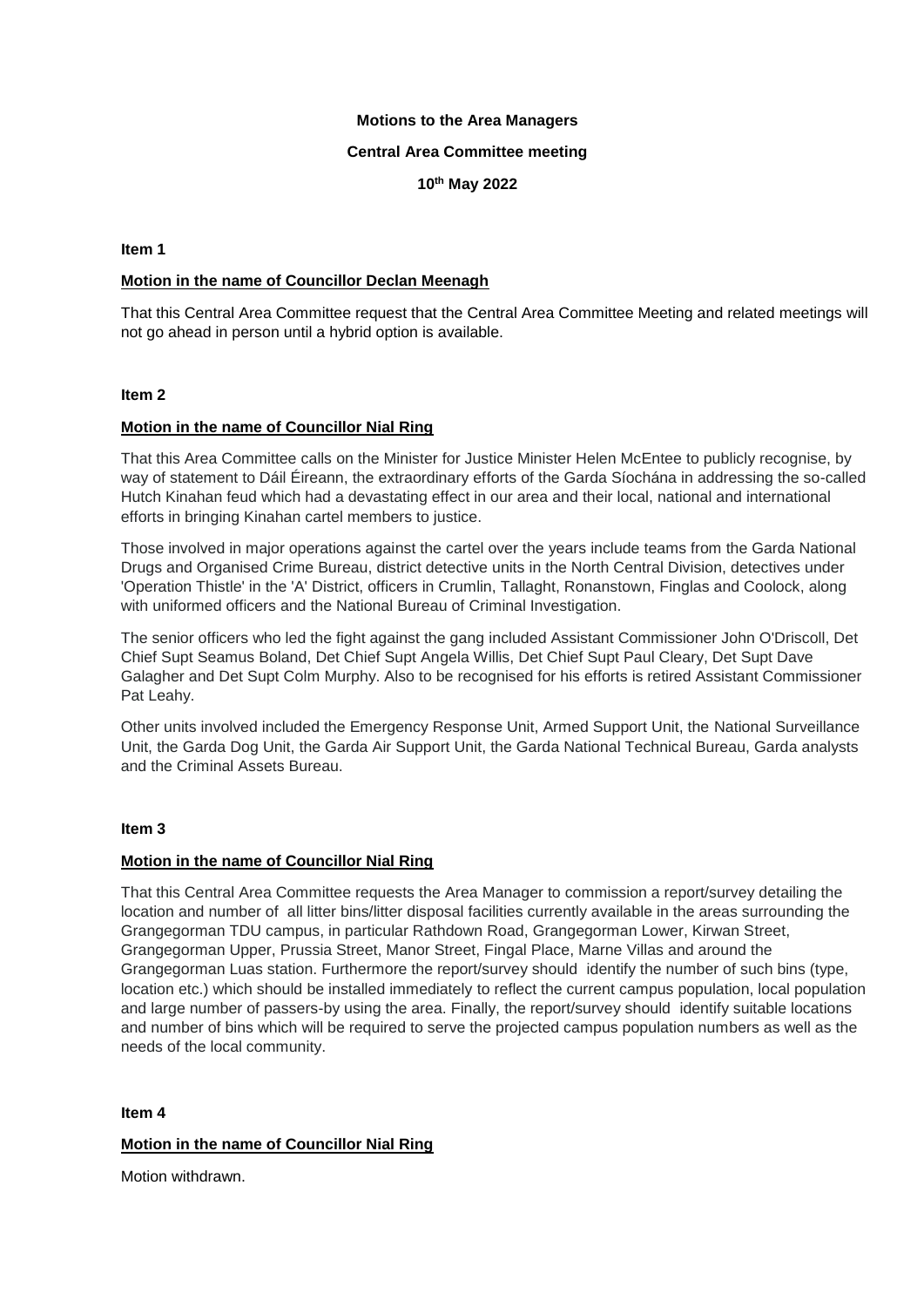### **Motions to the Area Managers**

### **Central Area Committee meeting**

**10 th May 2022**

### **Item 1**

# **Motion in the name of Councillor Declan Meenagh**

That this Central Area Committee request that the Central Area Committee Meeting and related meetings will not go ahead in person until a hybrid option is available.

### **Item 2**

# **Motion in the name of Councillor Nial Ring**

That this Area Committee calls on the Minister for Justice Minister Helen McEntee to publicly recognise, by way of statement to Dáil Éireann, the extraordinary efforts of the Garda Síochána in addressing the so-called Hutch Kinahan feud which had a devastating effect in our area and their local, national and international efforts in bringing Kinahan cartel members to justice.

Those involved in major operations against the cartel over the years include teams from the Garda National Drugs and Organised Crime Bureau, district detective units in the North Central Division, detectives under 'Operation Thistle' in the 'A' District, officers in Crumlin, Tallaght, Ronanstown, Finglas and Coolock, along with uniformed officers and the National Bureau of Criminal Investigation.

The senior officers who led the fight against the gang included Assistant Commissioner John O'Driscoll, Det Chief Supt Seamus Boland, Det Chief Supt Angela Willis, Det Chief Supt Paul Cleary, Det Supt Dave Galagher and Det Supt Colm Murphy. Also to be recognised for his efforts is retired Assistant Commissioner Pat Leahy.

Other units involved included the Emergency Response Unit, Armed Support Unit, the National Surveillance Unit, the Garda Dog Unit, the Garda Air Support Unit, the Garda National Technical Bureau, Garda analysts and the Criminal Assets Bureau.

### **Item 3**

### **Motion in the name of Councillor Nial Ring**

That this Central Area Committee requests the Area Manager to commission a report/survey detailing the location and number of all litter bins/litter disposal facilities currently available in the areas surrounding the Grangegorman TDU campus, in particular Rathdown Road, Grangegorman Lower, Kirwan Street, Grangegorman Upper, Prussia Street, Manor Street, Fingal Place, Marne Villas and around the Grangegorman Luas station. Furthermore the report/survey should identify the number of such bins (type, location etc.) which should be installed immediately to reflect the current campus population, local population and large number of passers-by using the area. Finally, the report/survey should identify suitable locations and number of bins which will be required to serve the projected campus population numbers as well as the needs of the local community.

### **Item 4**

# **Motion in the name of Councillor Nial Ring**

Motion withdrawn.